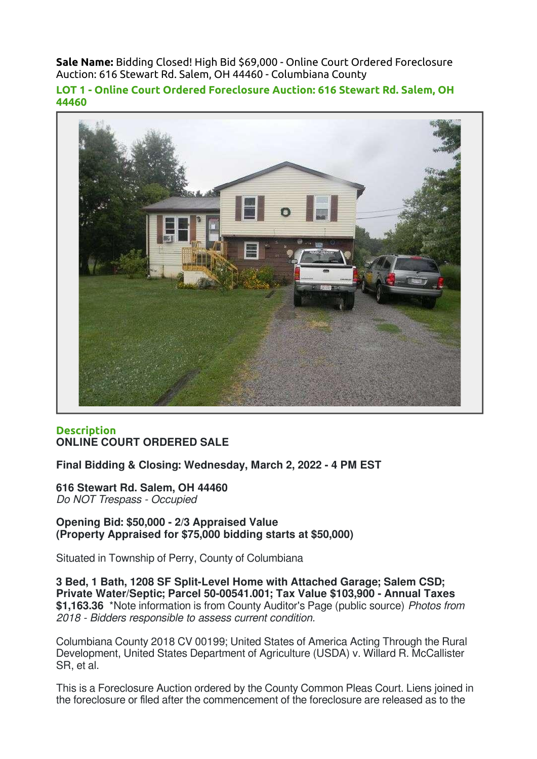Sale Name: Bidding Closed! High Bid \$69,000 - Online Court Ordered Foreclosure Auction: 616 Stewart Rd. Salem, OH 44460 - Columbiana County

LOT 1 - Online Court Ordered Foreclosure Auction: 616 Stewart Rd. Salem, OH 44460



## **Description** ONLINE COURT ORDERED SALE

Final Bidding & Closing: Wednesday, March 2, 2022 - 4 PM EST

616 Stewart Rd. Salem, OH 44460 Do NOT Trespass - Occupied

Opening Bid: \$50,000 - 2/3 Appraised Value (Property Appraised for \$75,000 bidding starts at \$50,000)

Situated in Township of Perry, County of Columbiana

3 Bed, 1 Bath, 1208 SF Split-Level Home with Attached Garage; Salem CSD; Private Water/Septic; Parcel 50-00541.001; Tax Value \$103,900 - Annual Taxes \$1,163.36 \*Note information is from County Auditor's Page (public source) Photos from 2018 - Bidders responsible to assess current condition.

Columbiana County 2018 CV 00199; United States of America Acting Through the Rural Development, United States Department of Agriculture (USDA) v. Willard R. McCallister SR, et al.

This is a Foreclosure Auction ordered by the County Common Pleas Court. Liens joined in the foreclosure or filed after the commencement of the foreclosure are released as to the